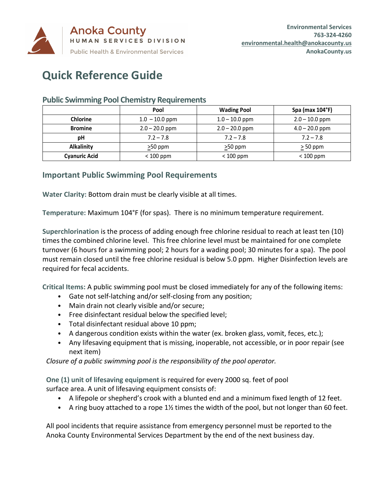

## **Quick Reference Guide**

|                      | Pool             | <b>Wading Pool</b> | Spa (max 104°F)  |
|----------------------|------------------|--------------------|------------------|
| <b>Chlorine</b>      | $1.0 - 10.0$ ppm | $1.0 - 10.0$ ppm   | $2.0 - 10.0$ ppm |
| <b>Bromine</b>       | $2.0 - 20.0$ ppm | $2.0 - 20.0$ ppm   | $4.0 - 20.0$ ppm |
| рH                   | $7.2 - 7.8$      | $7.2 - 7.8$        | $7.2 - 7.8$      |
| <b>Alkalinity</b>    | $\geq$ 50 ppm    | $\geq$ 50 ppm      | $\geq$ 50 ppm    |
| <b>Cyanuric Acid</b> | $< 100$ ppm      | $< 100$ ppm        | $< 100$ ppm      |

## **Public Swimming Pool Chemistry Requirements**

## **Important Public Swimming Pool Requirements**

**Water Clarity:** Bottom drain must be clearly visible at all times.

**Temperature:** Maximum 104°F (for spas). There is no minimum temperature requirement.

**Superchlorination** is the process of adding enough free chlorine residual to reach at least ten (10) times the combined chlorine level. This free chlorine level must be maintained for one complete turnover (6 hours for a swimming pool; 2 hours for a wading pool; 30 minutes for a spa). The pool must remain closed until the free chlorine residual is below 5.0 ppm. Higher Disinfection levels are required for fecal accidents.

**Critical Items:** A public swimming pool must be closed immediately for any of the following items:

- Gate not self-latching and/or self-closing from any position;
- Main drain not clearly visible and/or secure;
- Free disinfectant residual below the specified level;
- Total disinfectant residual above 10 ppm;
- A dangerous condition exists within the water (ex. broken glass, vomit, feces, etc.);
- Any lifesaving equipment that is missing, inoperable, not accessible, or in poor repair (see next item)

*Closure of a public swimming pool is the responsibility of the pool operator.*

**One (1) unit of lifesaving equipment** is required for every 2000 sq. feet of pool surface area. A unit of lifesaving equipment consists of:

- A lifepole or shepherd's crook with a blunted end and a minimum fixed length of 12 feet.
- A ring buoy attached to a rope 1½ times the width of the pool, but not longer than 60 feet.

All pool incidents that require assistance from emergency personnel must be reported to the Anoka County Environmental Services Department by the end of the next business day.